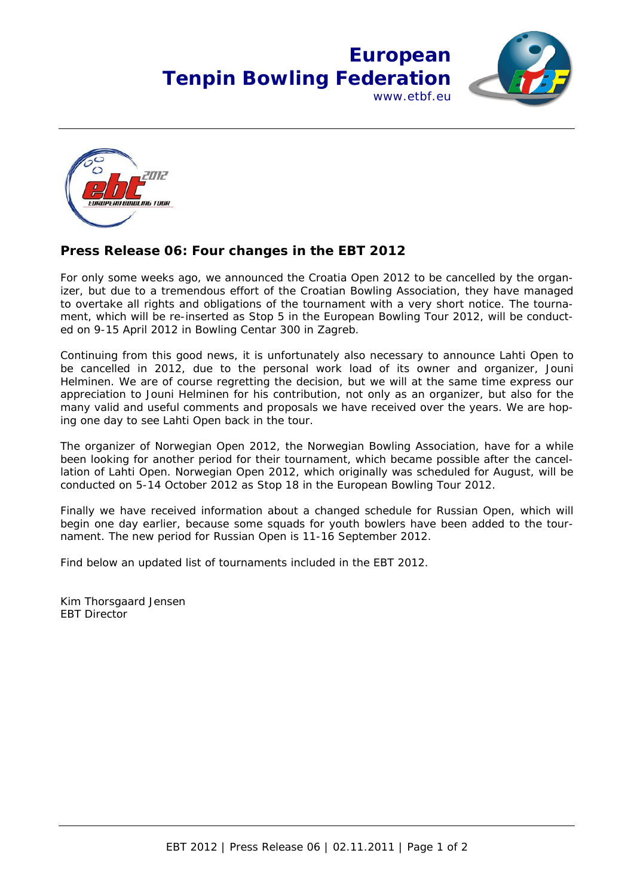## **European Tenpin Bowling Federation** www.etbf.eu





## **Press Release 06: Four changes in the EBT 2012**

For only some weeks ago, we announced the Croatia Open 2012 to be cancelled by the organizer, but due to a tremendous effort of the Croatian Bowling Association, they have managed to overtake all rights and obligations of the tournament with a very short notice. The tournament, which will be re-inserted as Stop 5 in the European Bowling Tour 2012, will be conducted on 9-15 April 2012 in Bowling Centar 300 in Zagreb.

Continuing from this good news, it is unfortunately also necessary to announce Lahti Open to be cancelled in 2012, due to the personal work load of its owner and organizer, Jouni Helminen. We are of course regretting the decision, but we will at the same time express our appreciation to Jouni Helminen for his contribution, not only as an organizer, but also for the many valid and useful comments and proposals we have received over the years. We are hoping one day to see Lahti Open back in the tour.

The organizer of Norwegian Open 2012, the Norwegian Bowling Association, have for a while been looking for another period for their tournament, which became possible after the cancellation of Lahti Open. Norwegian Open 2012, which originally was scheduled for August, will be conducted on 5-14 October 2012 as Stop 18 in the European Bowling Tour 2012.

Finally we have received information about a changed schedule for Russian Open, which will begin one day earlier, because some squads for youth bowlers have been added to the tournament. The new period for Russian Open is 11-16 September 2012.

Find below an updated list of tournaments included in the EBT 2012.

Kim Thorsgaard Jensen EBT Director